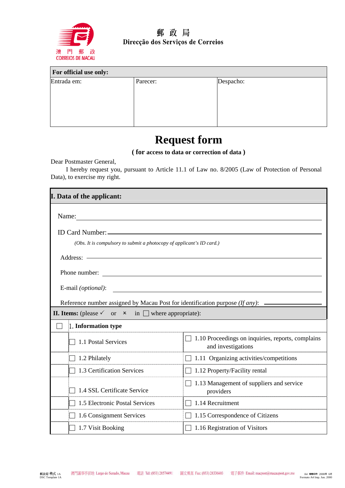

### 郵政局 Direcção dos Serviços de Correios

| For official use only: |          |           |
|------------------------|----------|-----------|
| Entrada em:            | Parecer: | Despacho: |
|                        |          |           |
|                        |          |           |
|                        |          |           |
|                        |          |           |

## **Request form**

**( for access to data or correction of data )**

Dear Postmaster General,

I hereby request you, pursuant to Article 11.1 of Law no. 8/2005 (Law of Protection of Personal Data), to exercise my right.

| I. Data of the applicant:                                                     |                                                                                |  |
|-------------------------------------------------------------------------------|--------------------------------------------------------------------------------|--|
| Name:                                                                         |                                                                                |  |
| ID Card Number: -                                                             |                                                                                |  |
| (Obs. It is compulsory to submit a photocopy of applicant's ID card.)         |                                                                                |  |
| Address: -                                                                    |                                                                                |  |
|                                                                               |                                                                                |  |
| Phone number:                                                                 |                                                                                |  |
| E-mail (optional):                                                            |                                                                                |  |
| Reference number assigned by Macau Post for identification purpose (If any):  |                                                                                |  |
| <b>II. Items:</b> (please $\checkmark$ or $\checkmark$ in where appropriate): |                                                                                |  |
| 1. Information type                                                           |                                                                                |  |
| 1.1 Postal Services                                                           | $\Box$ 1.10 Proceedings on inquiries, reports, complains<br>and investigations |  |
| 1.2 Philately                                                                 | 1.11 Organizing activities/competitions                                        |  |
| 1.3 Certification Services                                                    | 1.12 Property/Facility rental<br>$\blacksquare$                                |  |
| 1.4 SSL Certificate Service                                                   | 1.13 Management of suppliers and service<br>providers                          |  |
| 1.5 Electronic Postal Services                                                | 1.14 Recruitment                                                               |  |
| 1.6 Consignment Services                                                      | 1.15 Correspondence of Citizens                                                |  |
| 1.7 Visit Booking                                                             | 1.16 Registration of Visitors                                                  |  |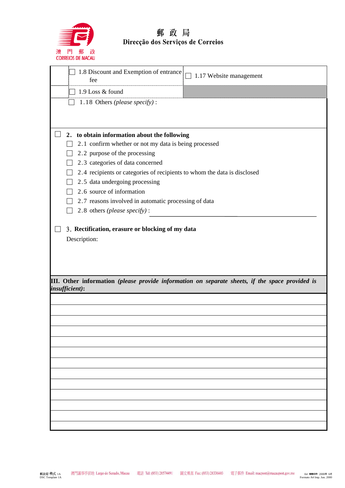

# 郵 政 局<br>Direcção dos Serviços de Correios

| 1.8 Discount and Exemption of entrance<br>1.17 Website management<br>fee                                          |
|-------------------------------------------------------------------------------------------------------------------|
| 1.9 Loss & found                                                                                                  |
| 1.18 Others (please specify):                                                                                     |
|                                                                                                                   |
|                                                                                                                   |
| to obtain information about the following<br>2.                                                                   |
| 2.1 confirm whether or not my data is being processed                                                             |
| 2.2 purpose of the processing                                                                                     |
| 2.3 categories of data concerned<br>2.4 recipients or categories of recipients to whom the data is disclosed      |
| 2.5 data undergoing processing                                                                                    |
| 2.6 source of information                                                                                         |
| 2.7 reasons involved in automatic processing of data                                                              |
| 2.8 others (please specify) :                                                                                     |
|                                                                                                                   |
| III. Other information (please provide information on separate sheets, if the space provided is<br>insufficient): |
|                                                                                                                   |
|                                                                                                                   |
|                                                                                                                   |
|                                                                                                                   |
|                                                                                                                   |
|                                                                                                                   |
|                                                                                                                   |
|                                                                                                                   |
|                                                                                                                   |
|                                                                                                                   |
|                                                                                                                   |
|                                                                                                                   |